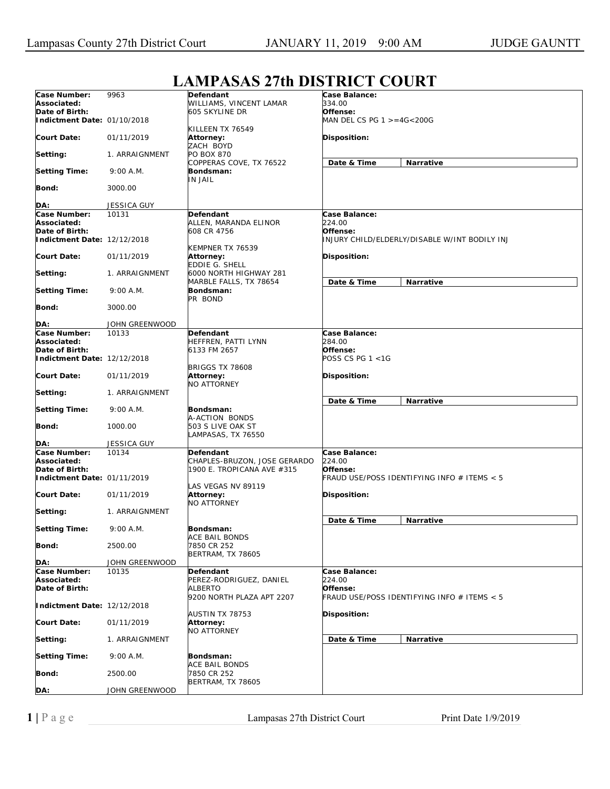## **LAMPASAS 27th DISTRICT COURT**

|                             |                             |                                                            | L'ANI AMM FIGIDIMET COUNT                     |
|-----------------------------|-----------------------------|------------------------------------------------------------|-----------------------------------------------|
| Case Number:                | 9963                        | Defendant                                                  | Case Balance:                                 |
| Associated:                 |                             | WILLIAMS, VINCENT LAMAR                                    | 334.00                                        |
| Date of Birth:              |                             | 605 SKYLINE DR                                             | Offense:                                      |
| Indictment Date: 01/10/2018 |                             |                                                            | MAN DEL CS PG 1 >=4G<200G                     |
|                             |                             | KILLEEN TX 76549                                           |                                               |
| <b>Court Date:</b>          | 01/11/2019                  | Attorney:                                                  | Disposition:                                  |
|                             |                             | ZACH BOYD                                                  |                                               |
| Setting:                    | 1. ARRAIGNMENT              | PO BOX 870                                                 |                                               |
|                             |                             | COPPERAS COVE, TX 76522                                    | Date & Time<br><b>Narrative</b>               |
| <b>Setting Time:</b>        | 9:00 A.M.                   | Bondsman:                                                  |                                               |
|                             |                             | IN JAIL                                                    |                                               |
| Bond:                       | 3000.00                     |                                                            |                                               |
|                             |                             |                                                            |                                               |
| DA:                         | JESSICA GUY                 |                                                            |                                               |
| Case Number:                | 10131                       | Defendant                                                  | Case Balance:                                 |
| Associated:                 |                             | ALLEN, MARANDA ELINOR                                      | 224.00                                        |
| Date of Birth:              |                             | 608 CR 4756                                                | Offense:                                      |
| Indictment Date: 12/12/2018 |                             |                                                            | INJURY CHILD/ELDERLY/DISABLE W/INT BODILY INJ |
|                             |                             | KEMPNER TX 76539                                           |                                               |
| <b>Court Date:</b>          | 01/11/2019                  | Attorney:                                                  | Disposition:                                  |
|                             |                             | EDDIE G. SHELL                                             |                                               |
| Setting:                    | 1. ARRAIGNMENT              | 6000 NORTH HIGHWAY 281                                     |                                               |
|                             |                             | MARBLE FALLS, TX 78654                                     | Date & Time<br><b>Narrative</b>               |
| <b>Setting Time:</b>        | 9:00 A.M.                   | Bondsman:                                                  |                                               |
|                             |                             | PR BOND                                                    |                                               |
| Bond:                       | 3000.00                     |                                                            |                                               |
|                             |                             |                                                            |                                               |
| DA:                         | JOHN GREENWOOD              |                                                            |                                               |
| Case Number:                | 10133                       | Defendant                                                  | Case Balance:                                 |
| Associated:                 |                             | HEFFREN, PATTI LYNN                                        | 284.00                                        |
| Date of Birth:              |                             | 6133 FM 2657                                               | Offense:                                      |
| Indictment Date: 12/12/2018 |                             |                                                            | <i>POSS CS PG 1 &lt;1G</i>                    |
| <b>Court Date:</b>          | 01/11/2019                  | <b>BRIGGS TX 78608</b>                                     |                                               |
|                             |                             | Attorney:<br>NO ATTORNEY                                   | <b>Disposition:</b>                           |
| Setting:                    | 1. ARRAIGNMENT              |                                                            |                                               |
|                             |                             |                                                            | Date & Time<br><b>Narrative</b>               |
|                             |                             | Bondsman:                                                  |                                               |
|                             |                             |                                                            |                                               |
| <b>Setting Time:</b>        | 9:00 A.M.                   |                                                            |                                               |
|                             |                             | A-ACTION BONDS                                             |                                               |
| Bond:                       | 1000.00                     | 503 S LIVE OAK ST                                          |                                               |
|                             |                             | LAMPASAS, TX 76550                                         |                                               |
| DA:<br>Case Number:         | <b>JESSICA GUY</b><br>10134 | Defendant                                                  | Case Balance:                                 |
| Associated:                 |                             |                                                            | 224.00                                        |
| Date of Birth:              |                             | CHAPLES-BRUZON, JOSE GERARDO<br>1900 E. TROPICANA AVE #315 | Offense:                                      |
| Indictment Date: 01/11/2019 |                             |                                                            | FRAUD USE/POSS IDENTIFYING INFO # ITEMS < 5   |
|                             |                             | LAS VEGAS NV 89119                                         |                                               |
| <b>Court Date:</b>          | 01/11/2019                  | <b>Attorney:</b>                                           | <b>Disposition:</b>                           |
|                             |                             | <b>NO ATTORNEY</b>                                         |                                               |
| Setting:                    | 1. ARRAIGNMENT              |                                                            |                                               |
|                             |                             |                                                            | Date & Time<br>Narrative                      |
| <b>Setting Time:</b>        | 9:00 A.M.                   | Bondsman:                                                  |                                               |
|                             |                             | <b>ACE BAIL BONDS</b>                                      |                                               |
| Bond:                       | 2500.00                     | 7850 CR 252                                                |                                               |
|                             |                             | BERTRAM, TX 78605                                          |                                               |
| DA:                         | JOHN GREENWOOD              |                                                            |                                               |
| Case Number:                | 10135                       | Defendant                                                  | Case Balance:                                 |
| Associated:                 |                             | PEREZ-RODRIGUEZ, DANIEL                                    | <i>224.00</i>                                 |
| Date of Birth:              |                             | <b>ALBERTO</b>                                             | Offense:                                      |
|                             |                             | 9200 NORTH PLAZA APT 2207                                  | FRAUD USE/POSS IDENTIFYING INFO # ITEMS < 5   |
| Indictment Date: 12/12/2018 |                             |                                                            |                                               |
|                             |                             | AUSTIN TX 78753                                            | Disposition:                                  |
| <b>Court Date:</b>          | 01/11/2019                  | <b>Attorney:</b>                                           |                                               |
|                             |                             | <b>NO ATTORNEY</b>                                         |                                               |
| Setting:                    | 1. ARRAIGNMENT              |                                                            | Date & Time<br>Narrative                      |
|                             |                             |                                                            |                                               |
| <b>Setting Time:</b>        | 9:00 A.M.                   | Bondsman:                                                  |                                               |
|                             |                             | ACE BAIL BONDS                                             |                                               |
| Bond:                       | 2500.00                     | 7850 CR 252                                                |                                               |
| DA:                         | JOHN GREENWOOD              | BERTRAM, TX 78605                                          |                                               |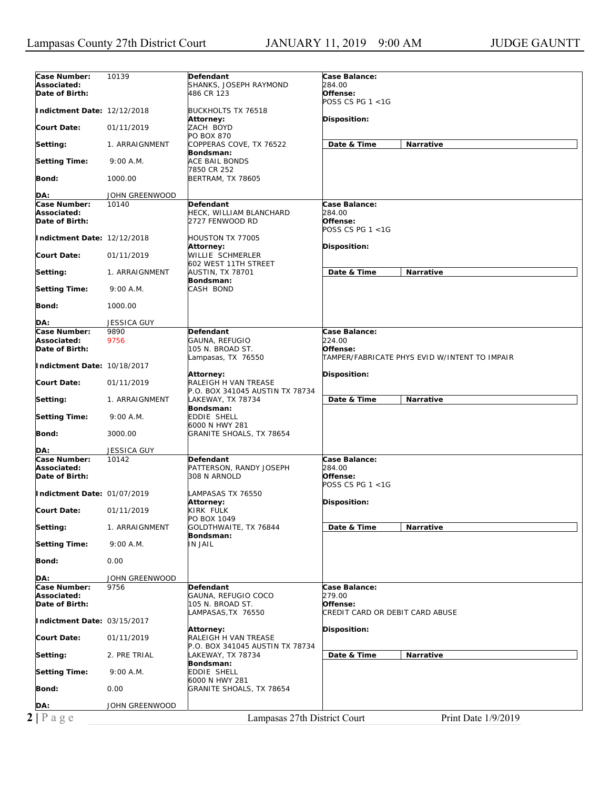| Case Number:                | 10139                      | Defendant                          | Case Balance:                                 |
|-----------------------------|----------------------------|------------------------------------|-----------------------------------------------|
| Associated:                 |                            | SHANKS, JOSEPH RAYMOND             | <i>284.00</i>                                 |
| Date of Birth:              |                            | 486 CR 123                         | Offense:                                      |
|                             |                            |                                    | POSS CS PG 1 <1G                              |
| Indictment Date: 12/12/2018 |                            | <b>BUCKHOLTS TX 76518</b>          |                                               |
|                             |                            | Attorney:                          | Disposition:                                  |
| <b>Court Date:</b>          | 01/11/2019                 | ZACH BOYD                          |                                               |
|                             |                            | PO BOX 870                         |                                               |
| Setting:                    | 1. ARRAIGNMENT             | COPPERAS COVE, TX 76522            | Date & Time<br><b>Narrative</b>               |
| <b>Setting Time:</b>        | 9:00 A.M.                  | Bondsman:<br>ACE BAIL BONDS        |                                               |
|                             |                            | 7850 CR 252                        |                                               |
| Bond:                       | 1000.00                    | <b>BERTRAM, TX 78605</b>           |                                               |
|                             |                            |                                    |                                               |
| DA:                         | JOHN GREENWOOD             |                                    |                                               |
| Case Number:                | 10140                      | Defendant                          | Case Balance:                                 |
| Associated:                 |                            | HECK, WILLIAM BLANCHARD            | 284.00                                        |
| Date of Birth:              |                            | 2727 FENWOOD RD                    | Offense:                                      |
|                             |                            |                                    | POSS CS PG 1 <1G                              |
| Indictment Date: 12/12/2018 |                            | HOUSTON TX 77005                   |                                               |
| <b>Court Date:</b>          | 01/11/2019                 | Attorney:<br>WILLIE SCHMERLER      | <b>Disposition:</b>                           |
|                             |                            | 602 WEST 11TH STREET               |                                               |
| Setting:                    | 1. ARRAIGNMENT             | AUSTIN, TX 78701                   | Date & Time<br>Narrative                      |
|                             |                            | Bondsman:                          |                                               |
| <b>Setting Time:</b>        | 9:00 A.M.                  | CASH BOND                          |                                               |
|                             |                            |                                    |                                               |
| Bond:                       | 1000.00                    |                                    |                                               |
|                             |                            |                                    |                                               |
| DA:                         | <b>JESSICA GUY</b><br>9890 |                                    |                                               |
| Case Number:<br>Associated: | 9756                       | Defendant<br>GAUNA, REFUGIO        | Case Balance:<br>224.00                       |
| Date of Birth:              |                            | 105 N. BROAD ST.                   | Offense:                                      |
|                             |                            | Lampasas, TX 76550                 | TAMPER/FABRICATE PHYS EVID W/INTENT TO IMPAIR |
| Indictment Date: 10/18/2017 |                            |                                    |                                               |
|                             |                            | Attorney:                          | Disposition:                                  |
| <b>Court Date:</b>          | 01/11/2019                 | RALEIGH H VAN TREASE               |                                               |
|                             |                            | P.O. BOX 341045 AUSTIN TX 78734    |                                               |
| Setting:                    | 1. ARRAIGNMENT             | LAKEWAY, TX 78734                  | Date & Time<br>Narrative                      |
| <b>Setting Time:</b>        | 9:00 A.M.                  | Bondsman:                          |                                               |
|                             |                            | EDDIE SHELL                        |                                               |
|                             |                            |                                    |                                               |
|                             |                            | 6000 N HWY 281                     |                                               |
| Bond:                       | 3000.00                    | GRANITE SHOALS, TX 78654           |                                               |
| DA:                         | <b>JESSICA GUY</b>         |                                    |                                               |
| Case Number:                | 10142                      | Defendant                          | Case Balance:                                 |
| Associated:                 |                            | PATTERSON, RANDY JOSEPH            | <i>284.00</i>                                 |
| Date of Birth:              |                            | 308 N ARNOLD                       | Offense:                                      |
|                             |                            |                                    | POSS CS PG 1 <1G                              |
| Indictment Date: 01/07/2019 |                            | LAMPASAS TX 76550                  |                                               |
|                             |                            | Attorney:                          | Disposition:                                  |
| <b>Court Date:</b>          | 01/11/2019                 | KIRK FULK                          |                                               |
|                             |                            | PO BOX 1049                        |                                               |
| Setting:                    | 1. ARRAIGNMENT             | GOLDTHWAITE, TX 76844<br>Bondsman: | Date & Time<br>Narrative                      |
| <b>Setting Time:</b>        | 9:00 A.M.                  | IN JAIL                            |                                               |
|                             |                            |                                    |                                               |
| Bond:                       | 0.00                       |                                    |                                               |
|                             |                            |                                    |                                               |
| DA:                         | JOHN GREENWOOD             |                                    |                                               |
| Case Number:                | 9756                       | Defendant                          | Case Balance:                                 |
| Associated:                 |                            | GAUNA, REFUGIO COCO                | 279.00                                        |
| Date of Birth:              |                            | 105 N. BROAD ST.                   | Offense:<br>CREDIT CARD OR DEBIT CARD ABUSE   |
| Indictment Date: 03/15/2017 |                            | LAMPASAS, TX 76550                 |                                               |
|                             |                            | Attorney:                          | Disposition:                                  |
| <b>Court Date:</b>          | 01/11/2019                 | RALEIGH H VAN TREASE               |                                               |
|                             |                            | P.O. BOX 341045 AUSTIN TX 78734    |                                               |
| Setting:                    | 2. PRE TRIAL               | LAKEWAY, TX 78734                  | Date & Time<br>Narrative                      |
|                             |                            | Bondsman:                          |                                               |
| <b>Setting Time:</b>        | 9:00 A.M.                  | EDDIE SHELL                        |                                               |
|                             |                            | 6000 N HWY 281                     |                                               |
| Bond:                       | 0.00                       | GRANITE SHOALS, TX 78654           |                                               |
| DA:                         | JOHN GREENWOOD             |                                    |                                               |
| $2 P \text{ a } g e$        |                            | Lampasas 27th District Court       | Print Date 1/9/2019                           |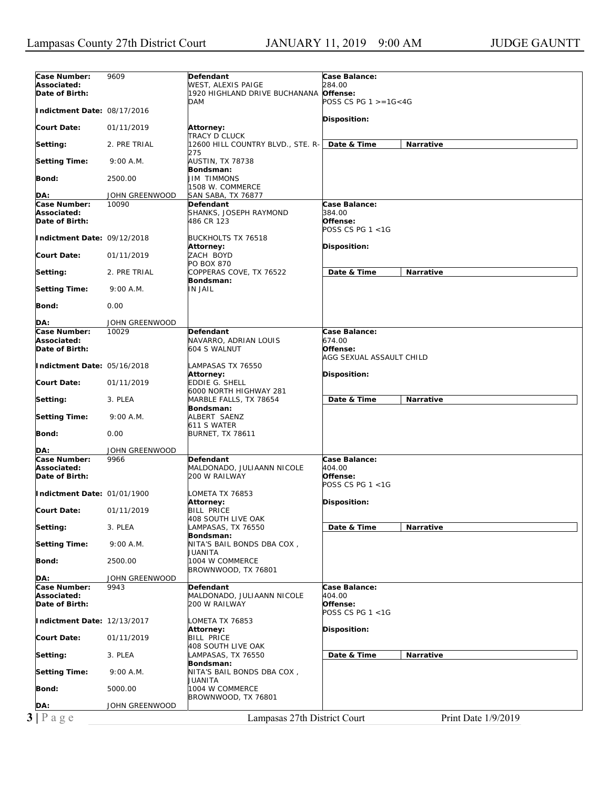| Case Number:                  | 9609           | Defendant                                     | Case Balance:                  |
|-------------------------------|----------------|-----------------------------------------------|--------------------------------|
| Associated:                   |                | WEST, ALEXIS PAIGE                            | 284.00                         |
| Date of Birth:                |                | 1920 HIGHLAND DRIVE BUCHANANA Offense:        |                                |
|                               |                | <b>DAM</b>                                    | POSS CS PG $1 > = 1G < 4G$     |
| Indictment Date: 08/17/2016   |                |                                               | Disposition:                   |
| Court Date:                   | 01/11/2019     | Attorney:                                     |                                |
|                               |                | TRACY D CLUCK                                 |                                |
| Setting:                      | 2. PRE TRIAL   | 12600 HILL COUNTRY BLVD., STE. R- Date & Time | Narrative                      |
|                               | 9:00 A.M.      | 275<br>AUSTIN, TX 78738                       |                                |
| <b>Setting Time:</b>          |                | Bondsman:                                     |                                |
| Bond:                         | 2500.00        | <b>JIM TIMMONS</b>                            |                                |
|                               |                | 1508 W. COMMERCE                              |                                |
| DA:                           | JOHN GREENWOOD | SAN SABA, TX 76877                            |                                |
| Case Number:<br>Associated:   | 10090          | Defendant<br>SHANKS, JOSEPH RAYMOND           | Case Balance:<br><i>384.00</i> |
| Date of Birth:                |                | 486 CR 123                                    | Offense:                       |
|                               |                |                                               | POSS CS PG 1 <1G               |
| Indictment Date: 09/12/2018   |                | <b>BUCKHOLTS TX 76518</b>                     |                                |
| Court Date:                   | 01/11/2019     | Attorney:<br>ZACH BOYD                        | Disposition:                   |
|                               |                | PO BOX 870                                    |                                |
| Setting:                      | 2. PRE TRIAL   | COPPERAS COVE, TX 76522                       | Date & Time<br>Narrative       |
|                               |                | Bondsman:                                     |                                |
| <b>Setting Time:</b>          | 9:00 A.M.      | IN JAIL                                       |                                |
| Bond:                         | 0.00           |                                               |                                |
|                               |                |                                               |                                |
| DA:                           | JOHN GREENWOOD |                                               |                                |
| Case Number:<br>Associated:   | 10029          | Defendant<br>NAVARRO, ADRIAN LOUIS            | Case Balance:<br>674.00        |
| Date of Birth:                |                | 604 S WALNUT                                  | Offense:                       |
|                               |                |                                               | AGG SEXUAL ASSAULT CHILD       |
| Indictment Date: 05/16/2018   |                | LAMPASAS TX 76550                             |                                |
| Court Date:                   |                | Attorney:                                     | <b>Disposition:</b>            |
|                               | 01/11/2019     | EDDIE G. SHELL<br>6000 NORTH HIGHWAY 281      |                                |
| Setting:                      | 3. PLEA        | MARBLE FALLS, TX 78654                        | Date & Time<br>Narrative       |
|                               |                | Bondsman:                                     |                                |
| <b>Setting Time:</b>          | 9:00 A.M.      | ALBERT SAENZ                                  |                                |
| Bond:                         | 0.00           | 611 S WATER<br><b>BURNET, TX 78611</b>        |                                |
|                               |                |                                               |                                |
| DA:                           | JOHN GREENWOOD |                                               |                                |
| Case Number:                  | 9966           | Defendant                                     | Case Balance:                  |
| Associated:<br>Date of Birth: |                | MALDONADO, JULIAANN NICOLE<br>200 W RAILWAY   | 404.00<br>Offense:             |
|                               |                |                                               | POSS CS PG 1 <1G               |
| Indictment Date: 01/01/1900   |                | LOMETA TX 76853                               |                                |
|                               |                | Attorney:                                     | Disposition:                   |
| <b>Court Date:</b>            | 01/11/2019     | BILL PRICE<br>408 SOUTH LIVE OAK              |                                |
| Setting:                      | 3. PLEA        | LAMPASAS, TX 76550                            | Date & Time<br>Narrative       |
|                               |                | Bondsman:                                     |                                |
| <b>Setting Time:</b>          | 9:00 A.M.      | NITA'S BAIL BONDS DBA COX,                    |                                |
| Bond:                         |                | JUANITA<br>1004 W COMMERCE                    |                                |
|                               | 2500.00        | BROWNWOOD, TX 76801                           |                                |
| DA:                           | JOHN GREENWOOD |                                               |                                |
| Case Number:                  | 9943           | Defendant                                     | Case Balance:                  |
| Associated:                   |                | MALDONADO, JULIAANN NICOLE                    | 404.00                         |
| Date of Birth:                |                | 200 W RAILWAY                                 | Offense:<br>POSS CS PG 1 <1G   |
| Indictment Date: 12/13/2017   |                | LOMETA TX 76853                               |                                |
|                               |                | Attorney:                                     | Disposition:                   |
| Court Date:                   | 01/11/2019     | <b>BILL PRICE</b>                             |                                |
|                               |                | 408 SOUTH LIVE OAK                            | Date & Time<br>Narrative       |
| Setting:                      | 3. PLEA        | LAMPASAS, TX 76550<br>Bondsman:               |                                |
| <b>Setting Time:</b>          | 9:00 A.M.      | NITA'S BAIL BONDS DBA COX,                    |                                |
|                               |                | JUANITA                                       |                                |
| <b>Bond:</b>                  | 5000.00        | 1004 W COMMERCE                               |                                |
| DA:                           | JOHN GREENWOOD | BROWNWOOD, TX 76801                           |                                |
|                               |                |                                               |                                |
| $3 P \text{ age}$             |                | Lampasas 27th District Court                  | Print Date 1/9/2019            |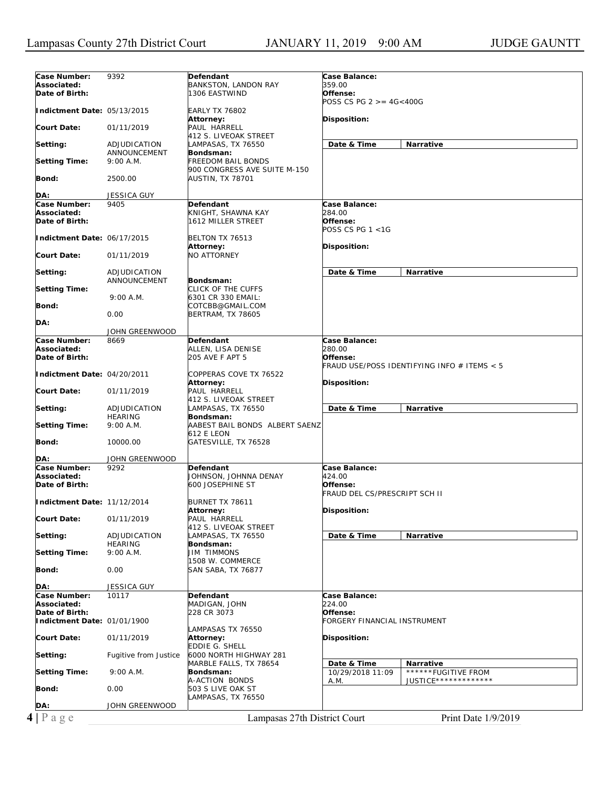| Case Number:                | 9392                  | Defendant                      | Case Balance:                               |
|-----------------------------|-----------------------|--------------------------------|---------------------------------------------|
| Associated:                 |                       | BANKSTON, LANDON RAY           | 359.00                                      |
| Date of Birth:              |                       | 1306 EASTWIND                  | Offense:                                    |
|                             |                       |                                | POSS CS PG $2 > = 4G < 400G$                |
| Indictment Date: 05/13/2015 |                       | <b>EARLY TX 76802</b>          |                                             |
|                             |                       | Attorney:                      | Disposition:                                |
| <b>Court Date:</b>          | 01/11/2019            | PAUL HARRELL                   |                                             |
|                             |                       | 412 S. LIVEOAK STREET          |                                             |
|                             |                       |                                |                                             |
| Setting:                    | ADJUDICATION          | LAMPASAS, TX 76550             | Date & Time<br>Narrative                    |
|                             | ANNOUNCEMENT          | Bondsman:                      |                                             |
| <b>Setting Time:</b>        | 9:00 A.M.             | <b>FREEDOM BAIL BONDS</b>      |                                             |
|                             |                       | 900 CONGRESS AVE SUITE M-150   |                                             |
| Bond:                       | 2500.00               | AUSTIN, TX 78701               |                                             |
|                             |                       |                                |                                             |
| DA:                         | JESSICA GUY           |                                |                                             |
| Case Number:                | 9405                  | <b>Defendant</b>               | Case Balance:                               |
| Associated:                 |                       | KNIGHT, SHAWNA KAY             | 284.00                                      |
| Date of Birth:              |                       | 1612 MILLER STREET             | Offense:                                    |
|                             |                       |                                | POSS CS PG 1 <1G                            |
| Indictment Date: 06/17/2015 |                       | BELTON TX 76513                |                                             |
|                             |                       |                                |                                             |
|                             |                       | Attorney:                      | Disposition:                                |
| <b>Court Date:</b>          | 01/11/2019            | <b>NO ATTORNEY</b>             |                                             |
|                             |                       |                                |                                             |
| Setting:                    | ADJUDICATION          |                                | Date & Time<br>Narrative                    |
|                             | ANNOUNCEMENT          | Bondsman:                      |                                             |
| <b>Setting Time:</b>        |                       | CLICK OF THE CUFFS             |                                             |
|                             | 9:00 A.M.             | 6301 CR 330 EMAIL:             |                                             |
| Bond:                       |                       | COTCBB@GMAIL.COM               |                                             |
|                             | 0.00                  | <b>BERTRAM, TX 78605</b>       |                                             |
| DA:                         |                       |                                |                                             |
|                             | JOHN GREENWOOD        |                                |                                             |
| Case Number:                | 8669                  | Defendant                      | Case Balance:                               |
|                             |                       |                                |                                             |
| Associated:                 |                       | ALLEN, LISA DENISE             | 280.00                                      |
| Date of Birth:              |                       | 205 AVE F APT 5                | Offense:                                    |
|                             |                       |                                | FRAUD USE/POSS IDENTIFYING INFO # ITEMS < 5 |
| Indictment Date: 04/20/2011 |                       | COPPERAS COVE TX 76522         |                                             |
|                             |                       | Attorney:                      | Disposition:                                |
| <b>Court Date:</b>          | 01/11/2019            | PAUL HARRELL                   |                                             |
|                             |                       | 412 S. LIVEOAK STREET          |                                             |
| Setting:                    | ADJUDICATION          | LAMPASAS, TX 76550             | Date & Time<br>Narrative                    |
|                             | <b>HEARING</b>        | Bondsman:                      |                                             |
| <b>Setting Time:</b>        | 9:00 A.M.             | AABEST BAIL BONDS ALBERT SAENZ |                                             |
|                             |                       |                                |                                             |
|                             |                       | <b>612 E LEON</b>              |                                             |
| Bond:                       | 10000.00              | GATESVILLE, TX 76528           |                                             |
|                             |                       |                                |                                             |
| DA:                         | JOHN GREENWOOD        |                                |                                             |
| Case Number:                | 9292                  | Defendant                      | Case Balance:                               |
| Associated:                 |                       | JOHNSON, JOHNNA DENAY          | 424.00                                      |
| Date of Birth:              |                       | 600 JOSEPHINE ST               | Offense:                                    |
|                             |                       |                                | FRAUD DEL CS/PRESCRIPT SCH II               |
| Indictment Date: 11/12/2014 |                       | BURNET TX 78611                |                                             |
|                             |                       | Attorney:                      | Disposition:                                |
| <b>Court Date:</b>          | 01/11/2019            | PAUL HARRELL                   |                                             |
|                             |                       |                                |                                             |
|                             |                       | 412 S. LIVEOAK STREET          |                                             |
| Setting:                    | ADJUDICATION          | LAMPASAS, TX 76550             | Date & Time<br>Narrative                    |
|                             | <b>HEARING</b>        | Bondsman:                      |                                             |
| <b>Setting Time:</b>        | 9:00 A.M.             | JIM TIMMONS                    |                                             |
|                             |                       | 1508 W. COMMERCE               |                                             |
| Bond:                       | 0.00                  | SAN SABA, TX 76877             |                                             |
|                             |                       |                                |                                             |
| DA:                         | <b>JESSICA GUY</b>    |                                |                                             |
| Case Number:                | 10117                 | Defendant                      | Case Balance:                               |
| Associated:                 |                       | MADIGAN, JOHN                  | 224.00                                      |
| Date of Birth:              |                       |                                |                                             |
|                             |                       | 228 CR 3073                    | Offense:                                    |
| Indictment Date: 01/01/1900 |                       |                                | FORGERY FINANCIAL INSTRUMENT                |
|                             |                       | LAMPASAS TX 76550              |                                             |
| <b>Court Date:</b>          | 01/11/2019            | Attorney:                      | Disposition:                                |
|                             |                       | <b>EDDIE G. SHELL</b>          |                                             |
| Setting:                    | Fugitive from Justice | 6000 NORTH HIGHWAY 281         |                                             |
|                             |                       | MARBLE FALLS, TX 78654         | Date & Time<br>Narrative                    |
| <b>Setting Time:</b>        | 9:00 A.M.             | Bondsman:                      | ******FUGITIVE FROM<br>10/29/2018 11:09     |
|                             |                       |                                | JUSTICE *************                       |
|                             |                       | A-ACTION BONDS                 | A.M.                                        |
|                             |                       |                                |                                             |
|                             | 0.00                  | 503 S LIVE OAK ST              |                                             |
|                             |                       | LAMPASAS, TX 76550             |                                             |
| Bond:<br>DA:                | JOHN GREENWOOD        |                                |                                             |